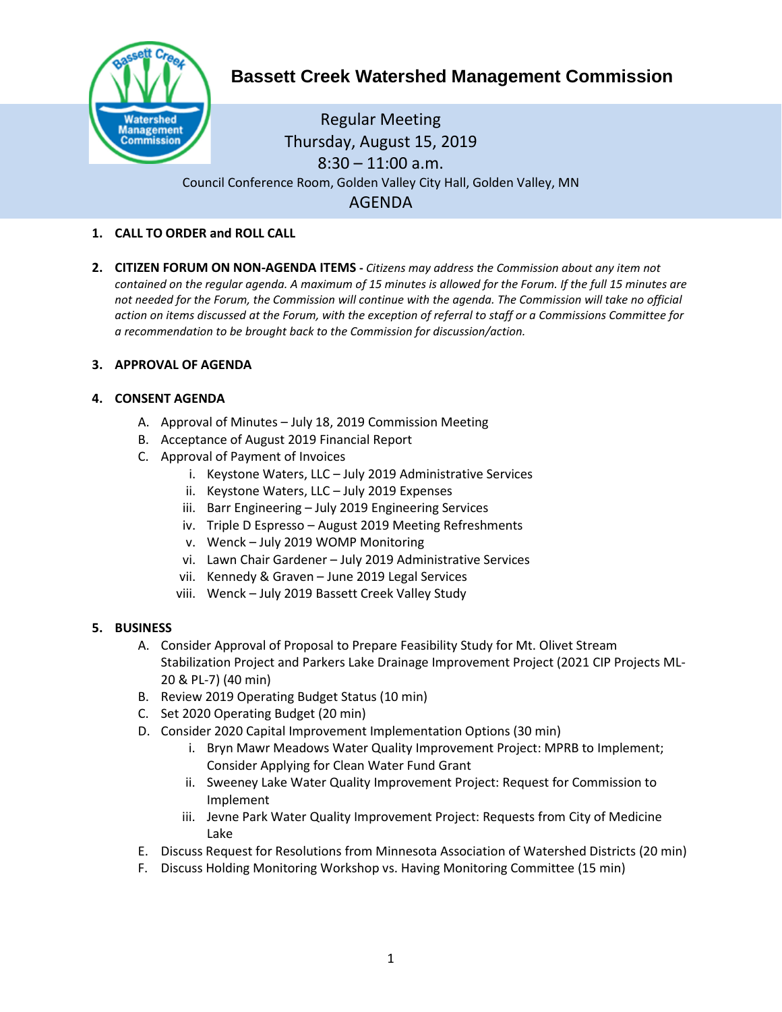

# **Bassett Creek Watershed Management Commission**

Regular Meeting Thursday, August 15, 2019  $8:30 - 11:00$  a.m. Council Conference Room, Golden Valley City Hall, Golden Valley, MN AGENDA

- **1. CALL TO ORDER and ROLL CALL**
- **2. CITIZEN FORUM ON NON-AGENDA ITEMS -** *Citizens may address the Commission about any item not contained on the regular agenda. A maximum of 15 minutes is allowed for the Forum. If the full 15 minutes are not needed for the Forum, the Commission will continue with the agenda. The Commission will take no official action on items discussed at the Forum, with the exception of referral to staff or a Commissions Committee for a recommendation to be brought back to the Commission for discussion/action.*

# **3. APPROVAL OF AGENDA**

# **4. CONSENT AGENDA**

- A. Approval of Minutes July 18, 2019 Commission Meeting
- B. Acceptance of August 2019 Financial Report
- C. Approval of Payment of Invoices
	- i. Keystone Waters, LLC July 2019 Administrative Services
	- ii. Keystone Waters, LLC July 2019 Expenses
	- iii. Barr Engineering July 2019 Engineering Services
	- iv. Triple D Espresso August 2019 Meeting Refreshments
	- v. Wenck July 2019 WOMP Monitoring
	- vi. Lawn Chair Gardener July 2019 Administrative Services
	- vii. Kennedy & Graven June 2019 Legal Services
	- viii. Wenck July 2019 Bassett Creek Valley Study

### **5. BUSINESS**

- A. Consider Approval of Proposal to Prepare Feasibility Study for Mt. Olivet Stream Stabilization Project and Parkers Lake Drainage Improvement Project (2021 CIP Projects ML-20 & PL-7) (40 min)
- B. Review 2019 Operating Budget Status (10 min)
- C. Set 2020 Operating Budget (20 min)
- D. Consider 2020 Capital Improvement Implementation Options (30 min)
	- i. Bryn Mawr Meadows Water Quality Improvement Project: MPRB to Implement; Consider Applying for Clean Water Fund Grant
	- ii. Sweeney Lake Water Quality Improvement Project: Request for Commission to Implement
	- iii. Jevne Park Water Quality Improvement Project: Requests from City of Medicine Lake
- E. Discuss Request for Resolutions from Minnesota Association of Watershed Districts (20 min)
- F. Discuss Holding Monitoring Workshop vs. Having Monitoring Committee (15 min)